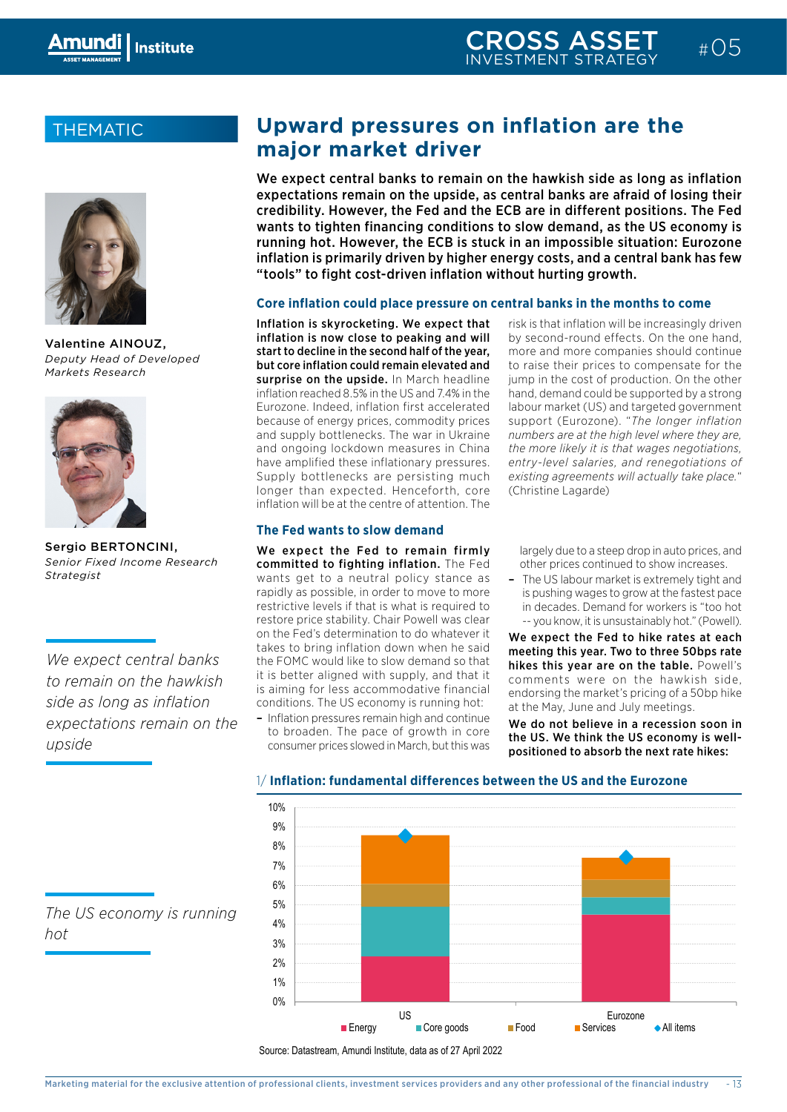# THEMATIC



Valentine AINOUZ, *Deputy Head of Developed Markets Research*



Sergio BERTONCINI, *Senior Fixed Income Research Strategist*

*We expect central banks to remain on the hawkish side as long as inflation expectations remain on the upside*

# **Upward pressures on inflation are the major market driver**

We expect central banks to remain on the hawkish side as long as inflation expectations remain on the upside, as central banks are afraid of losing their credibility. However, the Fed and the ECB are in different positions. The Fed wants to tighten financing conditions to slow demand, as the US economy is running hot. However, the ECB is stuck in an impossible situation: Eurozone inflation is primarily driven by higher energy costs, and a central bank has few "tools" to fight cost-driven inflation without hurting growth.

# **Core inflation could place pressure on central banks in the months to come**

Inflation is skyrocketing. We expect that inflation is now close to peaking and will start to decline in the second half of the year, but core inflation could remain elevated and surprise on the upside. In March headline inflation reached 8.5% in the US and 7.4% in the Eurozone. Indeed, inflation first accelerated because of energy prices, commodity prices and supply bottlenecks. The war in Ukraine and ongoing lockdown measures in China have amplified these inflationary pressures. Supply bottlenecks are persisting much longer than expected. Henceforth, core inflation will be at the centre of attention. The

# **The Fed wants to slow demand**

We expect the Fed to remain firmly committed to fighting inflation. The Fed wants get to a neutral policy stance as rapidly as possible, in order to move to more restrictive levels if that is what is required to restore price stability. Chair Powell was clear on the Fed's determination to do whatever it takes to bring inflation down when he said the FOMC would like to slow demand so that it is better aligned with supply, and that it is aiming for less accommodative financial conditions. The US economy is running hot:

– Inflation pressures remain high and continue to broaden. The pace of growth in core consumer prices slowed in March, but this was

risk is that inflation will be increasingly driven by second-round effects. On the one hand, more and more companies should continue to raise their prices to compensate for the jump in the cost of production. On the other hand, demand could be supported by a strong labour market (US) and targeted government support (Eurozone). "*The longer inflation numbers are at the high level where they are, the more likely it is that wages negotiations, entry-level salaries, and renegotiations of existing agreements will actually take place.*" (Christine Lagarde)

largely due to a steep drop in auto prices, and other prices continued to show increases.

– The US labour market is extremely tight and is pushing wages to grow at the fastest pace in decades. Demand for workers is "too hot -- you know, it is unsustainably hot." (Powell).

We expect the Fed to hike rates at each meeting this year. Two to three 50bps rate hikes this year are on the table. Powell's comments were on the hawkish side, endorsing the market's pricing of a 50bp hike at the May, June and July meetings.

We do not believe in a recession soon in aen. The pace of growth in core the US. We think the US economy is wellpositioned to absorb the next rate hikes:



*The US economy is running hot*

# 1/ **Inflation: fundamental differences between the US and the Eurozone**

Source: Datastream, Amundi Institute, data as of 27 April 2022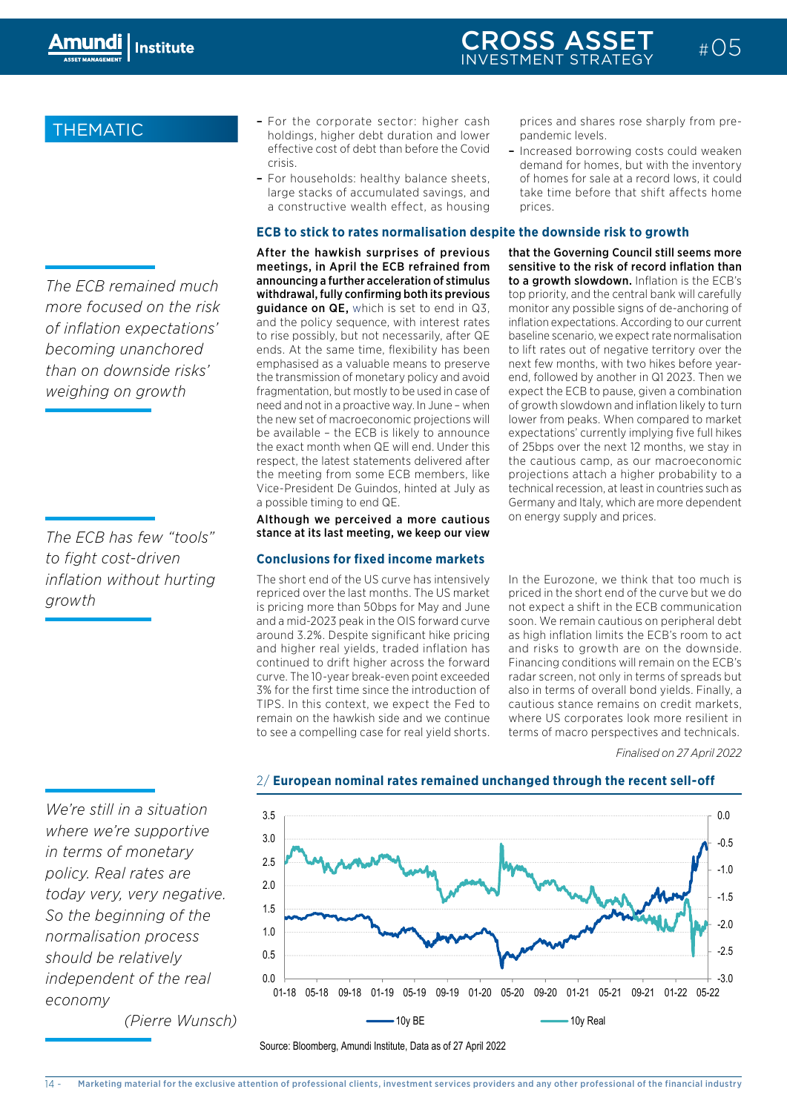*The ECB remained much more focused on the risk of inflation expectations' becoming unanchored than on downside risks' weighing on growth*

*The ECB has few "tools" to fight cost-driven inflation without hurting growth*

*We're still in a situation where we're supportive in terms of monetary policy. Real rates are* 

*today very, very negative. So the beginning of the normalisation process should be relatively independent of the real* 

*(Pierre Wunsch)*

*economy*

- THEMATIC For the corporate sector: higher cash holdings, higher debt duration and lower effective cost of debt than before the Covid crisis.
	- For households: healthy balance sheets, large stacks of accumulated savings, and a constructive wealth effect, as housing

# **ECB to stick to rates normalisation despite the downside risk to growth**

After the hawkish surprises of previous meetings, in April the ECB refrained from announcing a further acceleration of stimulus withdrawal, fully confirming both its previous guidance on QE, which is set to end in Q3, and the policy sequence, with interest rates to rise possibly, but not necessarily, after QE ends. At the same time, flexibility has been emphasised as a valuable means to preserve the transmission of monetary policy and avoid fragmentation, but mostly to be used in case of need and not in a proactive way. In June – when the new set of macroeconomic projections will be available – the ECB is likely to announce the exact month when QE will end. Under this respect, the latest statements delivered after the meeting from some ECB members, like Vice-President De Guindos, hinted at July as a possible timing to end QE.

Although we perceived a more cautious stance at its last meeting, we keep our view

## **Conclusions for fixed income markets**

The short end of the US curve has intensively repriced over the last months. The US market is pricing more than 50bps for May and June and a mid-2023 peak in the OIS forward curve around 3.2%. Despite significant hike pricing and higher real yields, traded inflation has continued to drift higher across the forward curve. The 10-year break-even point exceeded 3% for the first time since the introduction of TIPS. In this context, we expect the Fed to remain on the hawkish side and we continue to see a compelling case for real yield shorts.

prices and shares rose sharply from prepandemic levels.

 $\#$  0.5

– Increased borrowing costs could weaken demand for homes, but with the inventory of homes for sale at a record lows, it could take time before that shift affects home prices.

that the Governing Council still seems more sensitive to the risk of record inflation than to a growth slowdown. Inflation is the ECB's top priority, and the central bank will carefully monitor any possible signs of de-anchoring of inflation expectations. According to our current baseline scenario, we expect rate normalisation to lift rates out of negative territory over the next few months, with two hikes before yearend, followed by another in Q1 2023. Then we expect the ECB to pause, given a combination of growth slowdown and inflation likely to turn lower from peaks. When compared to market expectations' currently implying five full hikes of 25bps over the next 12 months, we stay in the cautious camp, as our macroeconomic projections attach a higher probability to a technical recession, at least in countries such as Germany and Italy, which are more dependent on energy supply and prices.

In the Eurozone, we think that too much is priced in the short end of the curve but we do not expect a shift in the ECB communication soon. We remain cautious on peripheral debt as high inflation limits the ECB's room to act and risks to growth are on the downside. Financing conditions will remain on the ECB's radar screen, not only in terms of spreads but also in terms of overall bond yields. Finally, a cautious stance remains on credit markets, where US corporates look more resilient in e and we commute the matter of corporates fook more resinent in the set of macro perspectives and technicals.

*Finalised on 27 April 2022*



## 2/ **European nominal rates remained unchanged through the recent sell-off**

Source: Bloomberg, Amundi Institute, Data as of 27 April 2022